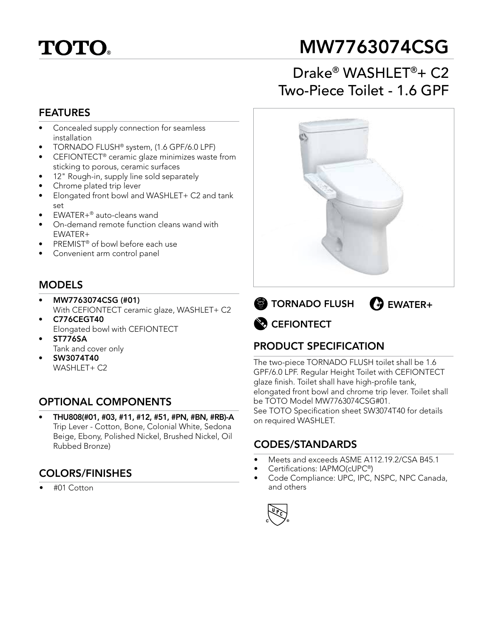# **TOTO**

# MW7763074CSG

# Drake® WASHLET®+ C2 Two-Piece Toilet - 1.6 GPF

#### FEATURES

- Concealed supply connection for seamless installation
- TORNADO FLUSH® system, (1.6 GPF/6.0 LPF)
- CEFIONTECT® ceramic glaze minimizes waste from sticking to porous, ceramic surfaces
- 12" Rough-in, supply line sold separately
- Chrome plated trip lever
- Elongated front bowl and WASHLET+ C2 and tank set
- EWATER+® auto-cleans wand
- On-demand remote function cleans wand with EWATER+
- PREMIST<sup>®</sup> of bowl before each use
- Convenient arm control panel

### MODELS

- MW7763074CSG (#01) With CEFIONTECT ceramic glaze, WASHLET+ C2
- C776CEGT40 Elongated bowl with CEFIONTECT
- ST776SA Tank and cover only
- SW3074T40 WASHLET+ C2

### OPTIONAL COMPONENTS

• THU808(#01, #03, #11, #12, #51, #PN, #BN, #RB)-A Trip Lever - Cotton, Bone, Colonial White, Sedona Beige, Ebony, Polished Nickel, Brushed Nickel, Oil Rubbed Bronze)

#### COLORS/FINISHES

• #01 Cotton





## PRODUCT SPECIFICATION

The two-piece TORNADO FLUSH toilet shall be 1.6 GPF/6.0 LPF. Regular Height Toilet with CEFIONTECT glaze finish. Toilet shall have high-profile tank, elongated front bowl and chrome trip lever. Toilet shall be TOTO Model MW7763074CSG#01. See TOTO Specification sheet SW3074T40 for details on required WASHLET.

#### CODES/STANDARDS

- Meets and exceeds ASME A112.19.2/CSA B45.1
- Certifications: IAPMO(cUPC®)
- Code Compliance: UPC, IPC, NSPC, NPC Canada, and others